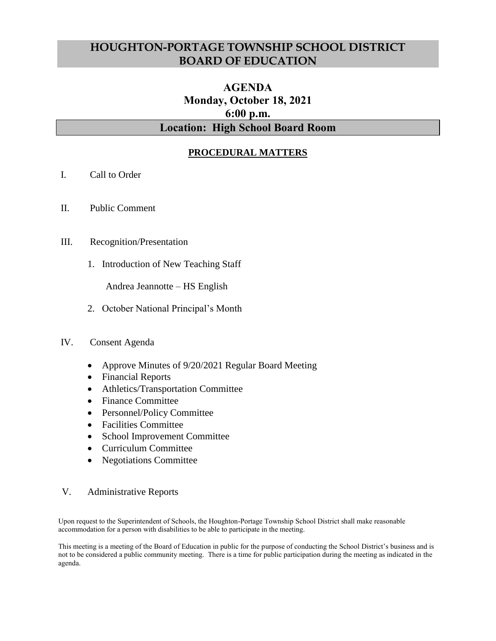# **HOUGHTON-PORTAGE TOWNSHIP SCHOOL DISTRICT BOARD OF EDUCATION**

# **AGENDA Monday, October 18, 2021 6:00 p.m. Location: High School Board Room**

# **PROCEDURAL MATTERS**

- I. Call to Order
- II. Public Comment

## III. Recognition/Presentation

1. Introduction of New Teaching Staff

Andrea Jeannotte – HS English

2. October National Principal's Month

#### IV. Consent Agenda

- Approve Minutes of 9/20/2021 Regular Board Meeting
- Financial Reports
- Athletics/Transportation Committee
- Finance Committee
- Personnel/Policy Committee
- Facilities Committee
- School Improvement Committee
- Curriculum Committee
- Negotiations Committee

#### V. Administrative Reports

Upon request to the Superintendent of Schools, the Houghton-Portage Township School District shall make reasonable accommodation for a person with disabilities to be able to participate in the meeting.

This meeting is a meeting of the Board of Education in public for the purpose of conducting the School District's business and is not to be considered a public community meeting. There is a time for public participation during the meeting as indicated in the agenda.